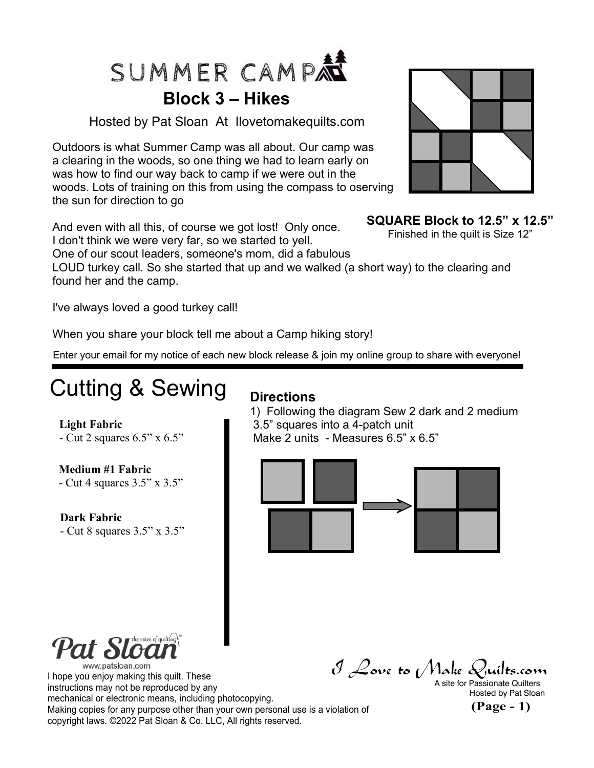

#### **Block 3 – Hikes**

Hosted by Pat Sloan At Ilovetomakequilts.com

Outdoors is what Summer Camp was all about. Our camp was a clearing in the woods, so one thing we had to learn early on was how to find our way back to camp if we were out in the woods. Lots of training on this from using the compass to oserving the sun for direction to go

And even with all this, of course we got lost! Only once. I don't think we were very far, so we started to yell.

One of our scout leaders, someone's mom, did a fabulous

LOUD turkey call. So she started that up and we walked (a short way) to the clearing and found her and the camp.

I've always loved a good turkey call!

When you share your block tell me about a Camp hiking story!

Enter your email for my notice of each new block release & join my online group to share with everyone!

## Cutting & Sewing

#### **Directions**

1) Following the diagram Sew 2 dark and 2 medium 3.5" squares into a 4-patch unit Make 2 units - Measures 6.5" x 6.5"



the voice of quilting  $\eta$ www.patsloan.com

**Medium #1 Fabric**

**Light Fabric**

**Dark Fabric**

- Cut 4 squares 3.5" x 3.5"

- Cut 8 squares 3.5" x 3.5"

- Cut 2 squares 6.5" x 6.5"

I hope you enjoy making this quilt. These instructions may not be reproduced by any mechanical or electronic means, including photocopying. Making copies for any purpose other than your own personal use is a violation of copyright laws. ©2022 Pat Sloan & Co. LLC, All rights reserved.

 $\mathcal J$  Love to (Make Quilts.com<br>a site for Passionate Quilters

Hosted by Pat Sloan

**(Page - 1)**



#### **SQUARE Block to 12.5" x 12.5"**

Finished in the quilt is Size 12"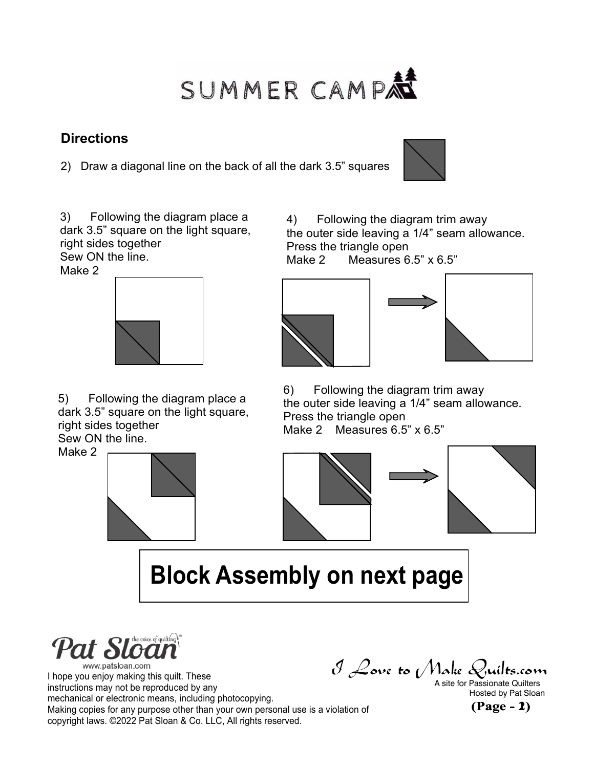# SUMMER CAMP

#### **Directions**

2) Draw a diagonal line on the back of all the dark 3.5" squares



3) Following the diagram place a dark 3.5" square on the light square, right sides together Sew ON the line.

Make 2



5) Following the diagram place a dark 3.5" square on the light square, right sides together Sew ON the line.

Make 2



4) Following the diagram trim away the outer side leaving a 1/4" seam allowance. Press the triangle open

Make 2 Measures 6.5" x 6.5"



6) Following the diagram trim away the outer side leaving a 1/4" seam allowance. Press the triangle open Make 2 Measures 6.5" x 6.5"





## **Block Assembly on next page**



I hope you enjoy making this quilt. These instructions may not be reproduced by any mechanical or electronic means, including photocopying. Making copies for any purpose other than your own personal use is a violation of copyright laws. ©2022 Pat Sloan & Co. LLC, All rights reserved.

 $\mathcal{I}$  **Love to** *Make* Quilts.com<br>A site for Passionate Quilters<br>Hosted by Pat Sloan<br>**1)**<br>**1)** 

A site for Passionate Quilters Hosted by Pat Sloan

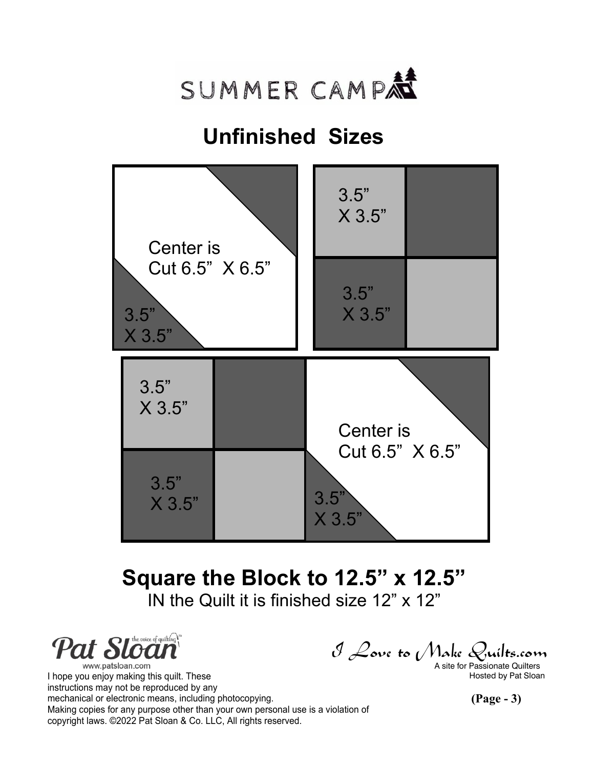

### **Unfinished Sizes**



## **Square the Block to 12.5" x 12.5"**

IN the Quilt it is finished size 12" x 12"

**Pat Sloan** www.patsloan.com

I hope you enjoy making this quilt. These Hosted by Pat Sloan has been a stated by Pat Sloan instructions may not be reproduced by any mechanical or electronic means, including photocopying. Making copies for any purpose other than your own personal use is a violation of copyright laws. ©2022 Pat Sloan & Co. LLC, All rights reserved.

 $\mathcal J$  Love to (Make Quilts.com<br>a site for Passionate Quilters

**(Page - 3)**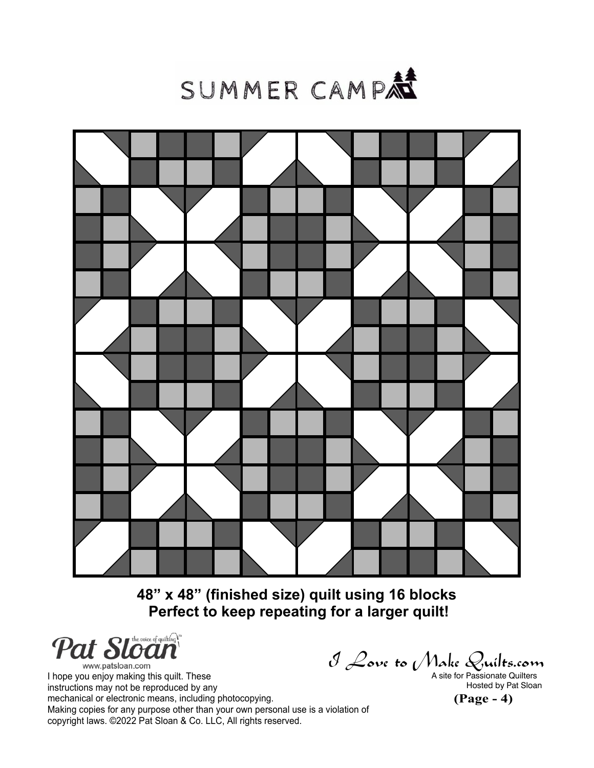



**48" x 48" (finished size) quilt using 16 blocks Perfect to keep repeating for a larger quilt!**

Pat Sloan

www.patsloan.com I hope you enjoy making this quilt. These instructions may not be reproduced by any mechanical or electronic means, including photocopying. Making copies for any purpose other than your own personal use is a violation of copyright laws. ©2022 Pat Sloan & Co. LLC, All rights reserved.

 $\mathcal J$  Love to (Make Quilts.com<br>a site for Passionate Quilters

**(Page - 4)** Hosted by Pat Sloan